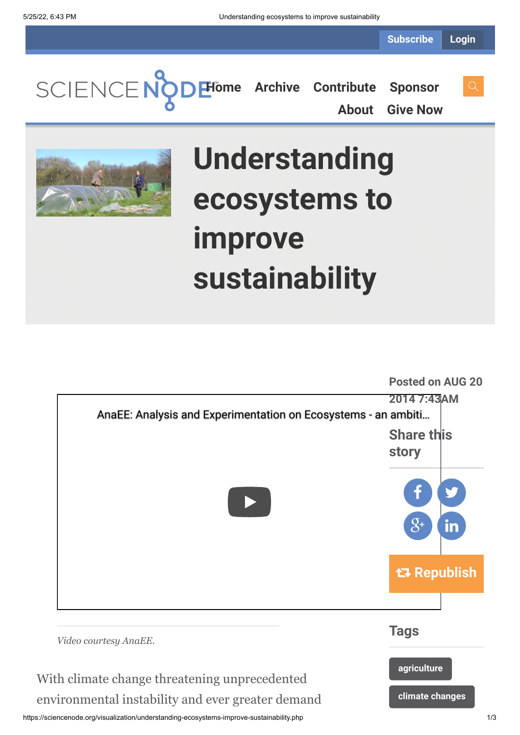**Subscribe Login**

**[Home](https://sciencenode.org/) [Archive](https://sciencenode.org/archive/index.php) [Contribute](https://sciencenode.org/contribute/index.php) [Sponsor](https://sciencenode.org/sponsor/index.php) [About](https://sciencenode.org/about/index.php) [Give Now](https://sciencenode.org/donate/index.php)**



## **Understanding ecosystems to improve sustainability**



https://sciencenode.org/visualization/understanding-ecosystems-improve-sustainability.php 1/3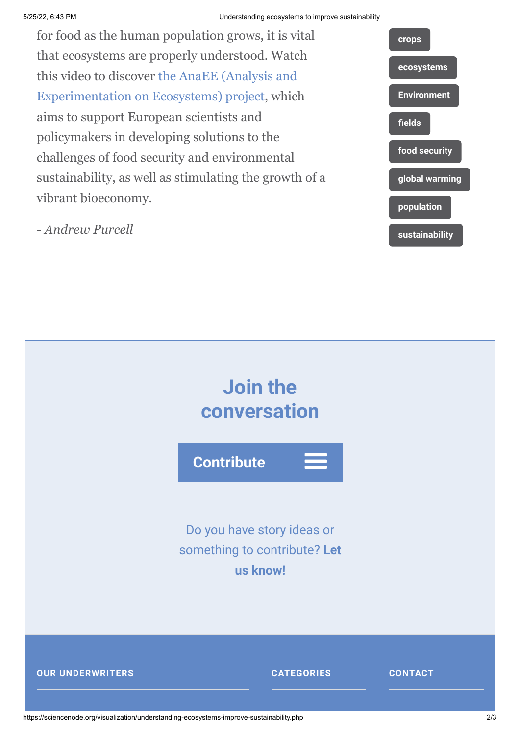## 5/25/22, 6:43 PM Understanding ecosystems to improve sustainability

for food as the human population grows, it is vital that ecosystems are properly understood. Watch [this video to discover the AnaEE \(Analysis and](http://www.anaee.com/) Experimentation on Ecosystems) project, which aims to support European scientists and policymakers in developing solutions to the challenges of food security and environmental sustainability, as well as stimulating the growth of a vibrant bioeconomy.

**[crops](https://sciencenode.org/tag/?tag=crops) [ecosystems](https://sciencenode.org/tag/?tag=ecosystems) [Environment](https://sciencenode.org/tag/?tag=Environment) [fields](https://sciencenode.org/tag/?tag=fields) [food security](https://sciencenode.org/tag/?tag=food%20security) [global warming](https://sciencenode.org/tag/?tag=global%20warming) [population](https://sciencenode.org/tag/?tag=population) [sustainability](https://sciencenode.org/tag/?tag=sustainability)**

*- Andrew Purcell*



https://sciencenode.org/visualization/understanding-ecosystems-improve-sustainability.php 2/3